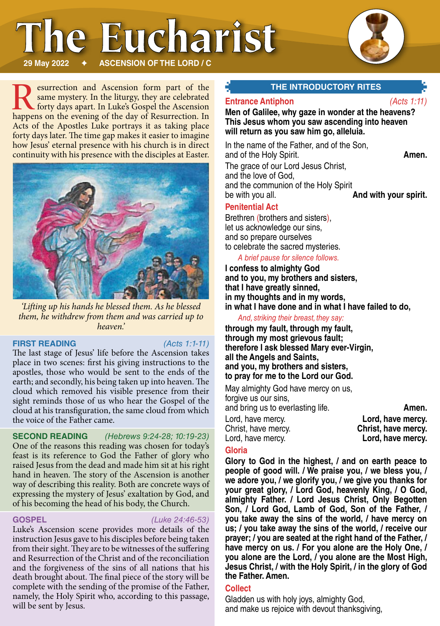# he Eucharist **29 May 2022** ✦ **ASCENSION OF THE LORD / C**



**Resurrection and Ascension form part of the same mystery. In the liturgy, they are celebrated forty days apart. In Luke's Gospel the Ascension happens on the evening of the day of Resurrection In** same mystery. In the liturgy, they are celebrated happens on the evening of the day of Resurrection. In Acts of the Apostles Luke portrays it as taking place forty days later. The time gap makes it easier to imagine how Jesus' eternal presence with his church is in direct continuity with his presence with the disciples at Easter.



*'Lifting up his hands he blessed them. As he blessed them, he withdrew from them and was carried up to heaven.'*

#### **FIRST READING** *(Acts 1:1-11)*

The last stage of Jesus' life before the Ascension takes place in two scenes: first his giving instructions to the apostles, those who would be sent to the ends of the earth; and secondly, his being taken up into heaven. The cloud which removed his visible presence from their sight reminds those of us who hear the Gospel of the cloud at his transfiguration, the same cloud from which the voice of the Father came.

**SECOND READING** *(Hebrews 9:24-28; 10:19-23)* One of the reasons this reading was chosen for today's feast is its reference to God the Father of glory who raised Jesus from the dead and made him sit at his right hand in heaven. The story of the Ascension is another way of describing this reality. Both are concrete ways of expressing the mystery of Jesus' exaltation by God, and of his becoming the head of his body, the Church.

#### **GOSPEL** *(Luke 24:46-53)*

Luke's Ascension scene provides more details of the instruction Jesus gave to his disciples before being taken from their sight. They are to be witnesses of the suffering and Resurrection of the Christ and of the reconciliation and the forgiveness of the sins of all nations that his death brought about. The final piece of the story will be complete with the sending of the promise of the Father, namely, the Holy Spirit who, according to this passage, will be sent by Jesus.

#### **THE INTRODUCTORY RITES**

**Entrance Antiphon** *(Acts 1:11)*

**Men of Galilee, why gaze in wonder at the heavens? This Jesus whom you saw ascending into heaven will return as you saw him go, alleluia.**

In the name of the Father, and of the Son, and of the Holy Spirit. **Amen.** The grace of our Lord Jesus Christ, and the love of God, and the communion of the Holy Spirit be with you all. **And with your spirit.**

#### **Penitential Act**

Brethren (brothers and sisters), let us acknowledge our sins, and so prepare ourselves to celebrate the sacred mysteries.

#### *A brief pause for silence follows.*

**I confess to almighty God and to you, my brothers and sisters, that I have greatly sinned, in my thoughts and in my words, in what I have done and in what I have failed to do,**

#### *And, striking their breast, they say:*

**through my fault, through my fault, through my most grievous fault; therefore I ask blessed Mary ever-Virgin, all the Angels and Saints, and you, my brothers and sisters, to pray for me to the Lord our God.**

May almighty God have mercy on us, forgive us our sins, and bring us to everlasting life. **Amen.**

Lord, have mercy. **Lord, have mercy.** Christ, have mercy. **Christ, have mercy.** Lord, have mercy. **Lord, have mercy.**

#### **Gloria**

**Glory to God in the highest, / and on earth peace to people of good will. / We praise you, / we bless you, / we adore you, / we glorify you, / we give you thanks for your great glory, / Lord God, heavenly King, / O God, almighty Father. / Lord Jesus Christ, Only Begotten Son, / Lord God, Lamb of God, Son of the Father, / you take away the sins of the world, / have mercy on us; / you take away the sins of the world, / receive our prayer; / you are seated at the right hand of the Father, / have mercy on us. / For you alone are the Holy One, / you alone are the Lord, / you alone are the Most High, Jesus Christ, / with the Holy Spirit, / in the glory of God the Father. Amen.**

#### **Collect**

Gladden us with holy joys, almighty God, and make us rejoice with devout thanksgiving.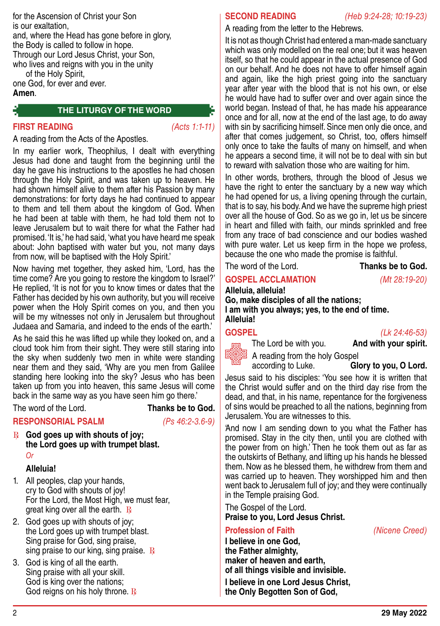for the Ascension of Christ your Son is our exaltation, and, where the Head has gone before in glory, the Body is called to follow in hope. Through our Lord Jesus Christ, your Son, who lives and reigns with you in the unity of the Holy Spirit, one God, for ever and ever.

#### **Amen**.

#### **THE LITURGY OF THE WORD**

#### **FIRST READING** *(Acts 1:1-11)*

A reading from the Acts of the Apostles.

In my earlier work, Theophilus, I dealt with everything Jesus had done and taught from the beginning until the day he gave his instructions to the apostles he had chosen through the Holy Spirit, and was taken up to heaven. He had shown himself alive to them after his Passion by many demonstrations: for forty days he had continued to appear to them and tell them about the kingdom of God. When he had been at table with them, he had told them not to leave Jerusalem but to wait there for what the Father had promised. 'It is,' he had said, 'what you have heard me speak about: John baptised with water but you, not many days from now, will be baptised with the Holy Spirit.'

Now having met together, they asked him, 'Lord, has the time come? Are you going to restore the kingdom to Israel?' He replied, 'It is not for you to know times or dates that the Father has decided by his own authority, but you will receive power when the Holy Spirit comes on you, and then you will be my witnesses not only in Jerusalem but throughout Judaea and Samaria, and indeed to the ends of the earth.'

As he said this he was lifted up while they looked on, and a cloud took him from their sight. They were still staring into the sky when suddenly two men in white were standing near them and they said, 'Why are you men from Galilee standing here looking into the sky? Jesus who has been taken up from you into heaven, this same Jesus will come back in the same way as you have seen him go there.'

The word of the Lord. **Thanks be to God.**

**RESPONSORIAL PSALM** *(Ps 46:2-3.6-9)*

℞ **God goes up with shouts of joy; the Lord goes up with trumpet blast.** *Or*

**Alleluia!**

- 1. All peoples, clap your hands, cry to God with shouts of joy! For the Lord, the Most High, we must fear, great king over all the earth.  $\mathbb{R}$
- 2. God goes up with shouts of joy; the Lord goes up with trumpet blast. Sing praise for God, sing praise, sing praise to our king, sing praise.  $\mathbf{R}$
- 3. God is king of all the earth. Sing praise with all your skill. God is king over the nations; God reigns on his holy throne.  $\mathbf{R}$

**SECOND READING** *(Heb 9:24-28; 10:19-23)*

A reading from the letter to the Hebrews.

It is not as though Christ had entered a man-made sanctuary which was only modelled on the real one; but it was heaven itself, so that he could appear in the actual presence of God on our behalf. And he does not have to offer himself again and again, like the high priest going into the sanctuary year after year with the blood that is not his own, or else he would have had to suffer over and over again since the world began. Instead of that, he has made his appearance once and for all, now at the end of the last age, to do away with sin by sacrificing himself. Since men only die once, and after that comes judgement, so Christ, too, offers himself only once to take the faults of many on himself, and when he appears a second time, it will not be to deal with sin but to reward with salvation those who are waiting for him.

In other words, brothers, through the blood of Jesus we have the right to enter the sanctuary by a new way which he had opened for us, a living opening through the curtain, that is to say, his body. And we have the supreme high priest over all the house of God. So as we go in, let us be sincere in heart and filled with faith, our minds sprinkled and free from any trace of bad conscience and our bodies washed with pure water. Let us keep firm in the hope we profess, because the one who made the promise is faithful.

The word of the Lord. **Thanks be to God.**

#### **GOSPEL ACCLAMATION** *(Mt 28:19-20)*

**Alleluia, alleluia! Go, make disciples of all the nations; I am with you always; yes, to the end of time. Alleluia!**

### **GOSPEL** *(Lk 24:46-53)*

The Lord be with you. **And with your spirit.**

A reading from the holy Gospel according to Luke. **Glory to you, O Lord.**

Jesus said to his disciples: 'You see how it is written that

the Christ would suffer and on the third day rise from the dead, and that, in his name, repentance for the forgiveness of sins would be preached to all the nations, beginning from Jerusalem. You are witnesses to this.

'And now I am sending down to you what the Father has promised. Stay in the city then, until you are clothed with the power from on high.' Then he took them out as far as the outskirts of Bethany, and lifting up his hands he blessed them. Now as he blessed them, he withdrew from them and was carried up to heaven. They worshipped him and then went back to Jerusalem full of joy; and they were continually in the Temple praising God.

The Gospel of the Lord.

### **Praise to you, Lord Jesus Christ.**

#### **Profession of Faith** *(Nicene Creed)*

**I believe in one God, the Father almighty, maker of heaven and earth, of all things visible and invisible. I believe in one Lord Jesus Christ, the Only Begotten Son of God,**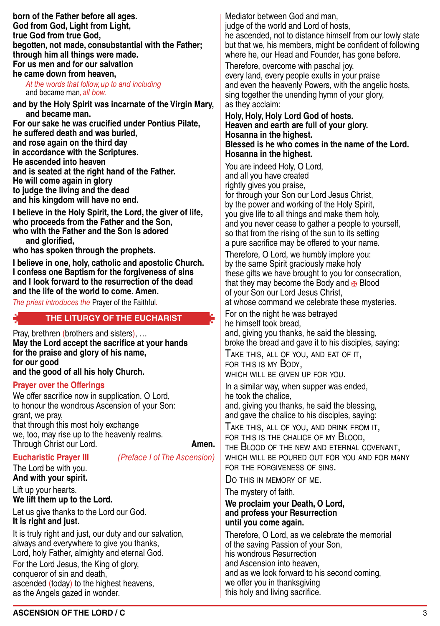**born of the Father before all ages. God from God, Light from Light, true God from true God, begotten, not made, consubstantial with the Father; through him all things were made. For us men and for our salvation he came down from heaven,**

*At the words that follow, up to and including*  and became man*, all bow.*

**and by the Holy Spirit was incarnate of the Virgin Mary, and became man.**

**For our sake he was crucified under Pontius Pilate, he suffered death and was buried, and rose again on the third day in accordance with the Scriptures. He ascended into heaven and is seated at the right hand of the Father. He will come again in glory to judge the living and the dead and his kingdom will have no end.**

**I believe in the Holy Spirit, the Lord, the giver of life, who proceeds from the Father and the Son, who with the Father and the Son is adored and glorified,**

**who has spoken through the prophets.**

**I believe in one, holy, catholic and apostolic Church. I confess one Baptism for the forgiveness of sins and I look forward to the resurrection of the dead and the life of the world to come. Amen.**

*The priest introduces the* Prayer of the Faithful*.*

#### **THE LITURGY OF THE EUCHARIST**

Pray, brethren (brothers and sisters), … **May the Lord accept the sacrifice at your hands for the praise and glory of his name, for our good and the good of all his holy Church.**

#### **Prayer over the Offerings**

We offer sacrifice now in supplication, O Lord, to honour the wondrous Ascension of your Son: grant, we pray, that through this most holy exchange we, too, may rise up to the heavenly realms. Through Christ our Lord. **Amen.**

#### **Eucharistic Prayer III** *(Preface I of The Ascension)*

## The Lord be with you.

**And with your spirit.** Lift up your hearts.

**We lift them up to the Lord.** Let us give thanks to the Lord our God.

#### **It is right and just.**

It is truly right and just, our duty and our salvation, always and everywhere to give you thanks, Lord, holy Father, almighty and eternal God. For the Lord Jesus, the King of glory, conqueror of sin and death, ascended (today) to the highest heavens, as the Angels gazed in wonder.

Mediator between God and man, judge of the world and Lord of hosts. he ascended, not to distance himself from our lowly state but that we, his members, might be confident of following where he, our Head and Founder, has gone before.

Therefore, overcome with paschal joy, every land, every people exults in your praise and even the heavenly Powers, with the angelic hosts, sing together the unending hymn of your glory, as they acclaim:

**Holy, Holy, Holy Lord God of hosts. Heaven and earth are full of your glory. Hosanna in the highest. Blessed is he who comes in the name of the Lord. Hosanna in the highest.**

You are indeed Holy, O Lord, and all you have created rightly gives you praise,

for through your Son our Lord Jesus Christ, by the power and working of the Holy Spirit, you give life to all things and make them holy, and you never cease to gather a people to yourself, so that from the rising of the sun to its setting a pure sacrifice may be offered to your name.

Therefore, O Lord, we humbly implore you: by the same Spirit graciously make holy these gifts we have brought to you for consecration, that they may become the Body and  $\bigoplus$  Blood of your Son our Lord Jesus Christ,

at whose command we celebrate these mysteries.

For on the night he was betrayed he himself took bread, and, giving you thanks, he said the blessing, broke the bread and gave it to his disciples, saying:

Take this, all of you, and eat of it, for this is my Body,

WHICH WILL BE GIVEN UP FOR YOU.

In a similar way, when supper was ended, he took the chalice,

and, giving you thanks, he said the blessing, and gave the chalice to his disciples, saying:

Take this, all of you, and drink from it, for this is the chalice of my Blood, the Blood of the new and eternal covenant, WHICH WILL BE POURED OUT FOR YOU AND FOR MANY

for the forgiveness of sins.

Do this in memory of me.

The mystery of faith.

#### **We proclaim your Death, O Lord, and profess your Resurrection until you come again.**

Therefore, O Lord, as we celebrate the memorial of the saving Passion of your Son, his wondrous Resurrection and Ascension into heaven, and as we look forward to his second coming, we offer you in thanksgiving this holy and living sacrifice.

#### **ASCENSION OF THE LORD / C** 3